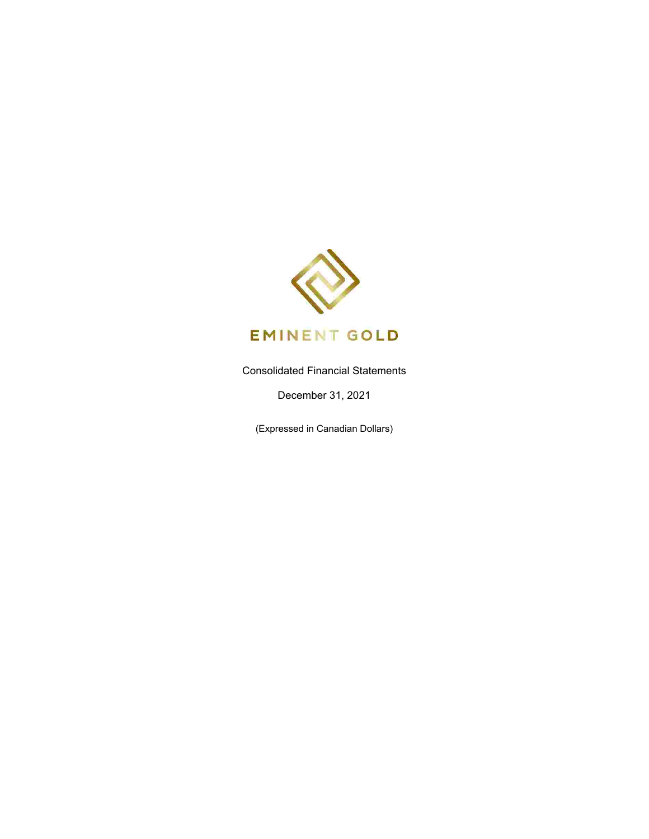

Consolidated Financial Statements

December 31, 2021

(Expressed in Canadian Dollars)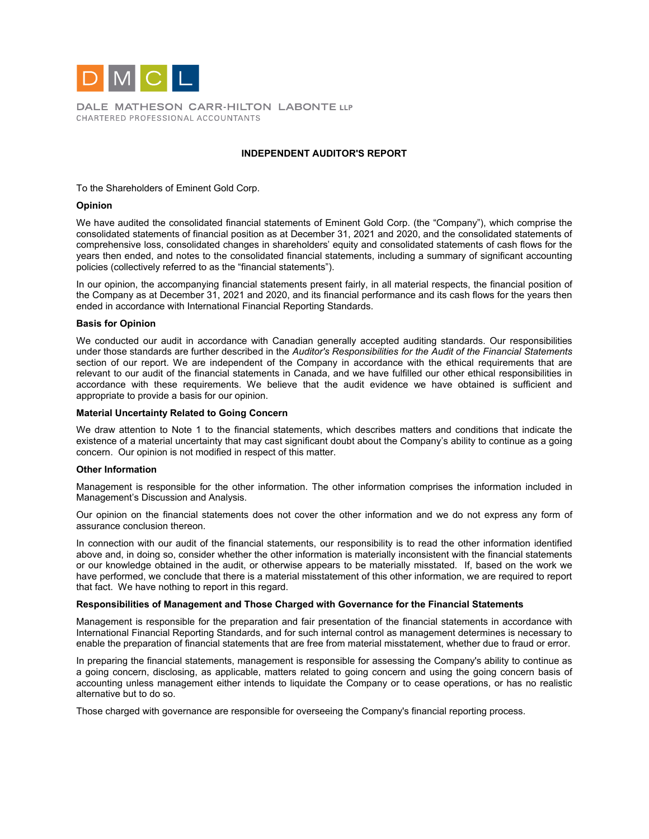

DALE MATHESON CARR-HILTON LABONTE LLP CHARTERED PROFESSIONAL ACCOUNTANTS

#### **INDEPENDENT AUDITOR'S REPORT**

To the Shareholders of Eminent Gold Corp.

#### **Opinion**

We have audited the consolidated financial statements of Eminent Gold Corp. (the "Company"), which comprise the consolidated statements of financial position as at December 31, 2021 and 2020, and the consolidated statements of comprehensive loss, consolidated changes in shareholders' equity and consolidated statements of cash flows for the years then ended, and notes to the consolidated financial statements, including a summary of significant accounting policies (collectively referred to as the "financial statements").

In our opinion, the accompanying financial statements present fairly, in all material respects, the financial position of the Company as at December 31, 2021 and 2020, and its financial performance and its cash flows for the years then ended in accordance with International Financial Reporting Standards.

#### **Basis for Opinion**

We conducted our audit in accordance with Canadian generally accepted auditing standards. Our responsibilities under those standards are further described in the *Auditor's Responsibilities for the Audit of the Financial Statements* section of our report. We are independent of the Company in accordance with the ethical requirements that are relevant to our audit of the financial statements in Canada, and we have fulfilled our other ethical responsibilities in accordance with these requirements. We believe that the audit evidence we have obtained is sufficient and appropriate to provide a basis for our opinion.

#### **Material Uncertainty Related to Going Concern**

We draw attention to Note 1 to the financial statements, which describes matters and conditions that indicate the existence of a material uncertainty that may cast significant doubt about the Company's ability to continue as a going concern. Our opinion is not modified in respect of this matter.

#### **Other Information**

Management is responsible for the other information. The other information comprises the information included in Management's Discussion and Analysis.

Our opinion on the financial statements does not cover the other information and we do not express any form of assurance conclusion thereon.

In connection with our audit of the financial statements, our responsibility is to read the other information identified above and, in doing so, consider whether the other information is materially inconsistent with the financial statements or our knowledge obtained in the audit, or otherwise appears to be materially misstated. If, based on the work we have performed, we conclude that there is a material misstatement of this other information, we are required to report that fact. We have nothing to report in this regard.

#### **Responsibilities of Management and Those Charged with Governance for the Financial Statements**

Management is responsible for the preparation and fair presentation of the financial statements in accordance with International Financial Reporting Standards, and for such internal control as management determines is necessary to enable the preparation of financial statements that are free from material misstatement, whether due to fraud or error.

In preparing the financial statements, management is responsible for assessing the Company's ability to continue as a going concern, disclosing, as applicable, matters related to going concern and using the going concern basis of accounting unless management either intends to liquidate the Company or to cease operations, or has no realistic alternative but to do so.

Those charged with governance are responsible for overseeing the Company's financial reporting process.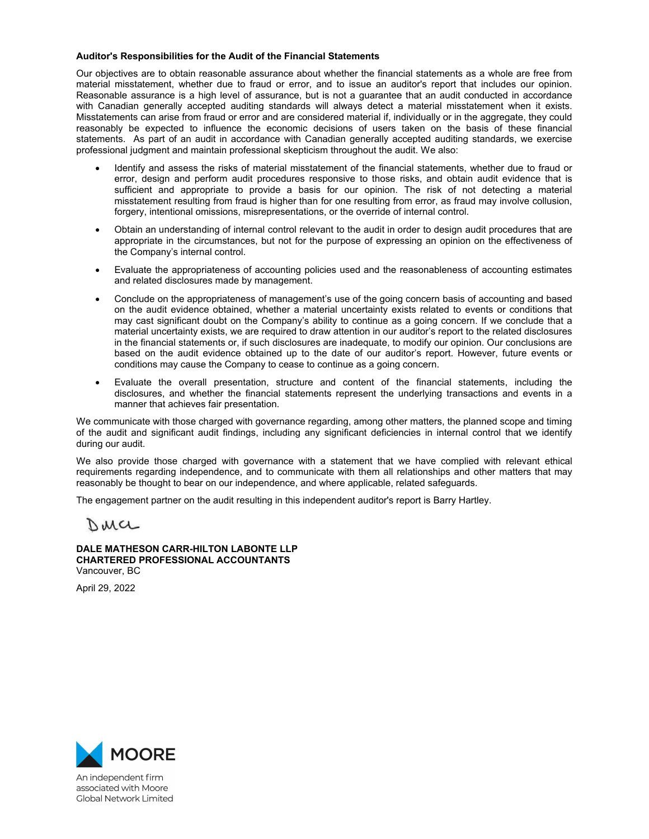#### **Auditor's Responsibilities for the Audit of the Financial Statements**

Our objectives are to obtain reasonable assurance about whether the financial statements as a whole are free from material misstatement, whether due to fraud or error, and to issue an auditor's report that includes our opinion. Reasonable assurance is a high level of assurance, but is not a guarantee that an audit conducted in accordance with Canadian generally accepted auditing standards will always detect a material misstatement when it exists. Misstatements can arise from fraud or error and are considered material if, individually or in the aggregate, they could reasonably be expected to influence the economic decisions of users taken on the basis of these financial statements. As part of an audit in accordance with Canadian generally accepted auditing standards, we exercise professional judgment and maintain professional skepticism throughout the audit. We also:

- Identify and assess the risks of material misstatement of the financial statements, whether due to fraud or error, design and perform audit procedures responsive to those risks, and obtain audit evidence that is sufficient and appropriate to provide a basis for our opinion. The risk of not detecting a material misstatement resulting from fraud is higher than for one resulting from error, as fraud may involve collusion, forgery, intentional omissions, misrepresentations, or the override of internal control.
- Obtain an understanding of internal control relevant to the audit in order to design audit procedures that are appropriate in the circumstances, but not for the purpose of expressing an opinion on the effectiveness of the Company's internal control.
- Evaluate the appropriateness of accounting policies used and the reasonableness of accounting estimates and related disclosures made by management.
- Conclude on the appropriateness of management's use of the going concern basis of accounting and based on the audit evidence obtained, whether a material uncertainty exists related to events or conditions that may cast significant doubt on the Company's ability to continue as a going concern. If we conclude that a material uncertainty exists, we are required to draw attention in our auditor's report to the related disclosures in the financial statements or, if such disclosures are inadequate, to modify our opinion. Our conclusions are based on the audit evidence obtained up to the date of our auditor's report. However, future events or conditions may cause the Company to cease to continue as a going concern.
- Evaluate the overall presentation, structure and content of the financial statements, including the disclosures, and whether the financial statements represent the underlying transactions and events in a manner that achieves fair presentation.

We communicate with those charged with governance regarding, among other matters, the planned scope and timing of the audit and significant audit findings, including any significant deficiencies in internal control that we identify during our audit.

We also provide those charged with governance with a statement that we have complied with relevant ethical requirements regarding independence, and to communicate with them all relationships and other matters that may reasonably be thought to bear on our independence, and where applicable, related safeguards.

The engagement partner on the audit resulting in this independent auditor's report is Barry Hartley.

Ducc

**DALE MATHESON CARR-HILTON LABONTE LLP CHARTERED PROFESSIONAL ACCOUNTANTS** Vancouver, BC

April 29, 2022



An independent firm associated with Moore Global Network Limited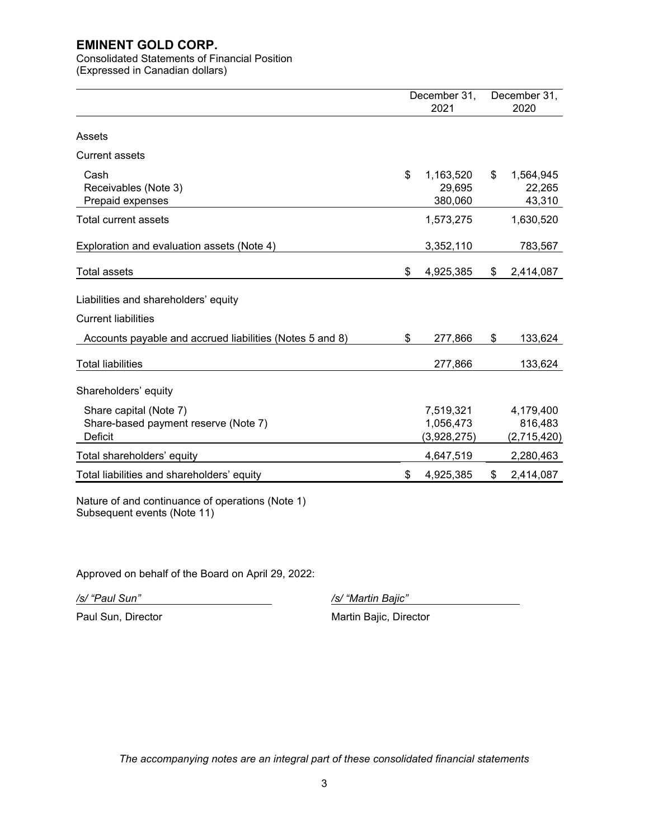# Consolidated Statements of Financial Position

(Expressed in Canadian dollars)

|                                                                                  | December 31, |                                       | December 31, |                                     |
|----------------------------------------------------------------------------------|--------------|---------------------------------------|--------------|-------------------------------------|
|                                                                                  |              | 2021                                  |              | 2020                                |
| Assets                                                                           |              |                                       |              |                                     |
| <b>Current assets</b>                                                            |              |                                       |              |                                     |
| Cash<br>Receivables (Note 3)<br>Prepaid expenses                                 | \$           | 1,163,520<br>29,695<br>380,060        | \$           | 1,564,945<br>22,265<br>43,310       |
| Total current assets                                                             |              | 1,573,275                             |              | 1,630,520                           |
| Exploration and evaluation assets (Note 4)                                       |              | 3,352,110                             |              | 783,567                             |
| <b>Total assets</b>                                                              | \$           | 4,925,385                             | \$           | 2,414,087                           |
| Liabilities and shareholders' equity                                             |              |                                       |              |                                     |
| <b>Current liabilities</b>                                                       |              |                                       |              |                                     |
| Accounts payable and accrued liabilities (Notes 5 and 8)                         | \$           | 277,866                               | \$           | 133,624                             |
| <b>Total liabilities</b>                                                         |              | 277,866                               |              | 133,624                             |
| Shareholders' equity                                                             |              |                                       |              |                                     |
| Share capital (Note 7)<br>Share-based payment reserve (Note 7)<br><b>Deficit</b> |              | 7,519,321<br>1,056,473<br>(3,928,275) |              | 4,179,400<br>816,483<br>(2,715,420) |
| Total shareholders' equity                                                       |              | 4,647,519                             |              | 2,280,463                           |
| Total liabilities and shareholders' equity                                       | \$           | 4,925,385                             | \$           | 2,414,087                           |

Nature of and continuance of operations (Note 1) Subsequent events (Note 11)

Approved on behalf of the Board on April 29, 2022:

*/s/ "Paul Sun" /s/ "Martin Bajic"*

Paul Sun, Director **Martin Bajic, Director** Martin Bajic, Director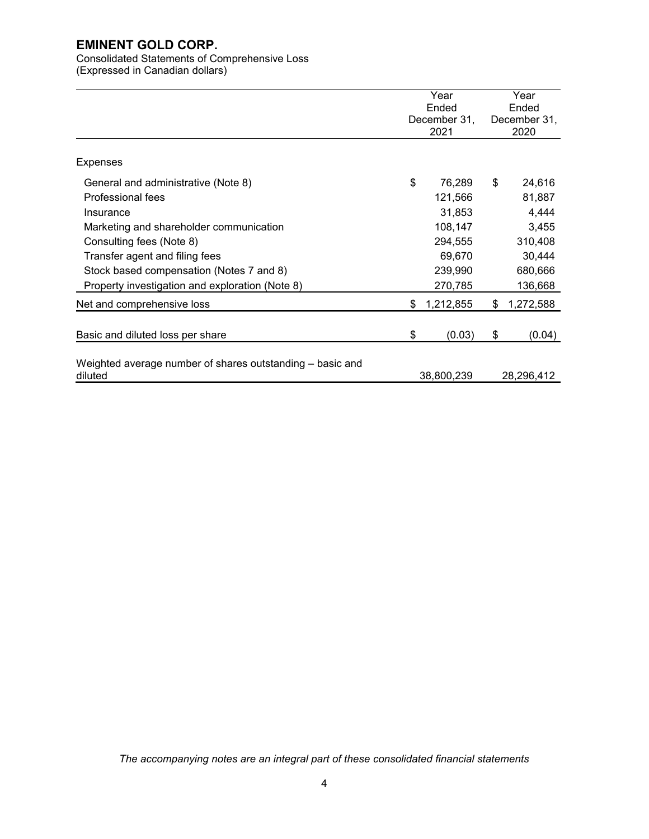# Consolidated Statements of Comprehensive Loss

(Expressed in Canadian dollars)

|                                                                      | Year<br>Ended<br>December 31, |            |              | Year<br>Ended |
|----------------------------------------------------------------------|-------------------------------|------------|--------------|---------------|
|                                                                      |                               |            | December 31, |               |
|                                                                      |                               | 2021       |              | 2020          |
| <b>Expenses</b>                                                      |                               |            |              |               |
| General and administrative (Note 8)                                  | \$                            | 76,289     | \$           | 24,616        |
| Professional fees                                                    |                               | 121,566    |              | 81,887        |
| Insurance                                                            |                               | 31,853     |              | 4,444         |
| Marketing and shareholder communication                              |                               | 108,147    |              | 3,455         |
| Consulting fees (Note 8)                                             |                               | 294,555    |              | 310,408       |
| Transfer agent and filing fees                                       |                               | 69,670     |              | 30,444        |
| Stock based compensation (Notes 7 and 8)                             |                               | 239,990    |              | 680,666       |
| Property investigation and exploration (Note 8)                      |                               | 270,785    |              | 136,668       |
| Net and comprehensive loss                                           | \$                            | 1,212,855  | \$           | 1,272,588     |
|                                                                      |                               |            |              |               |
| Basic and diluted loss per share                                     | \$                            | (0.03)     | \$           | (0.04)        |
|                                                                      |                               |            |              |               |
| Weighted average number of shares outstanding - basic and<br>diluted |                               | 38,800,239 |              | 28,296,412    |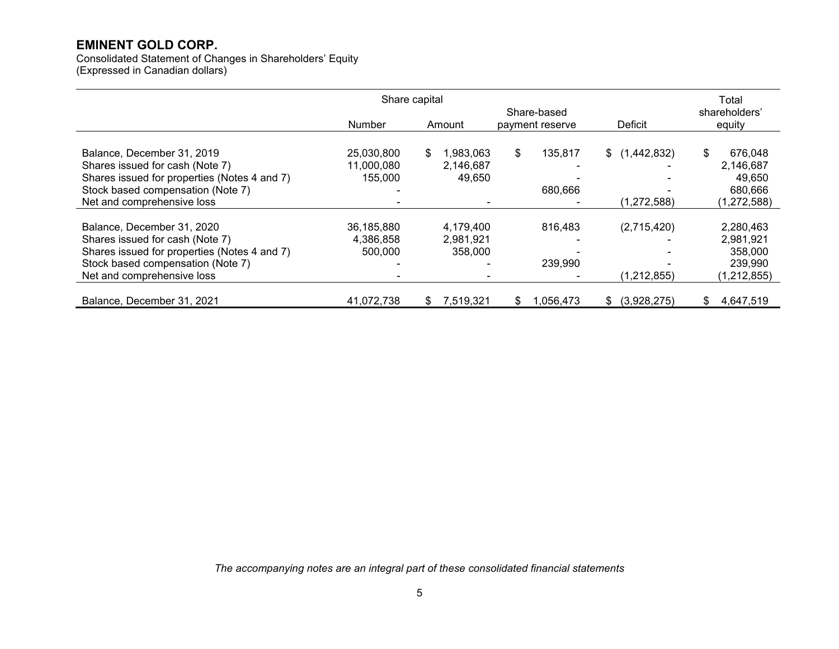Consolidated Statement of Changes in Shareholders' Equity (Expressed in Canadian dollars)

| Share capital                                                                                                                                      |                                    |                                                     |                    |                   |                                              |  |
|----------------------------------------------------------------------------------------------------------------------------------------------------|------------------------------------|-----------------------------------------------------|--------------------|-------------------|----------------------------------------------|--|
|                                                                                                                                                    | Number                             | Share-based<br>payment reserve<br>Deficit<br>Amount |                    |                   | shareholders'<br>equity                      |  |
| Balance, December 31, 2019<br>Shares issued for cash (Note 7)                                                                                      | 25.030.800<br>11,000,080           | .983,063<br>\$.<br>2.146.687                        | \$<br>135,817      | \$(1,442,832)     | \$<br>676,048<br>2,146,687                   |  |
| Shares issued for properties (Notes 4 and 7)<br>Stock based compensation (Note 7)<br>Net and comprehensive loss                                    | 155,000                            | 49,650                                              | 680,666            | (1,272,588)       | 49,650<br>680.666<br>(1,272,588)             |  |
| Balance, December 31, 2020<br>Shares issued for cash (Note 7)<br>Shares issued for properties (Notes 4 and 7)<br>Stock based compensation (Note 7) | 36,185,880<br>4,386,858<br>500,000 | 4,179,400<br>2,981,921<br>358,000                   | 816,483<br>239,990 | (2,715,420)       | 2,280,463<br>2,981,921<br>358,000<br>239,990 |  |
| Net and comprehensive loss                                                                                                                         |                                    |                                                     |                    | (1,212,855)       | (1, 212, 855)                                |  |
| Balance, December 31, 2021                                                                                                                         | 41,072,738                         | 7,519,321<br>S.                                     | 1,056,473<br>S.    | (3,928,275)<br>\$ | 4,647,519<br>S.                              |  |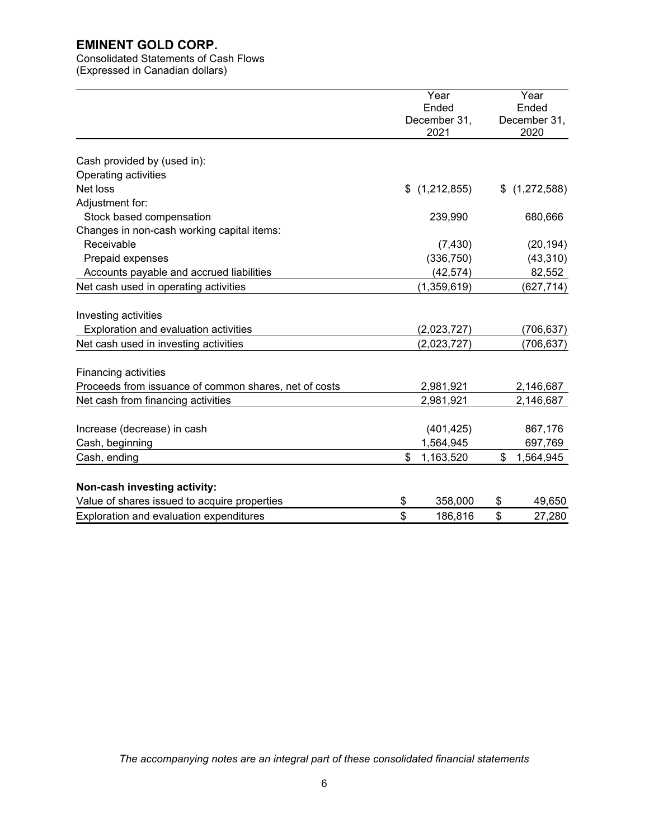# Consolidated Statements of Cash Flows

(Expressed in Canadian dollars)

|                                                       | Year |               | Year              |
|-------------------------------------------------------|------|---------------|-------------------|
|                                                       |      | Ended         | Ended             |
|                                                       |      | December 31,  | December 31,      |
|                                                       |      | 2021          | 2020              |
| Cash provided by (used in):                           |      |               |                   |
| Operating activities                                  |      |               |                   |
| Net loss                                              |      | \$(1,212,855) | \$<br>(1,272,588) |
| Adjustment for:                                       |      |               |                   |
| Stock based compensation                              |      | 239,990       | 680,666           |
| Changes in non-cash working capital items:            |      |               |                   |
| Receivable                                            |      | (7, 430)      | (20, 194)         |
| Prepaid expenses                                      |      | (336, 750)    | (43, 310)         |
| Accounts payable and accrued liabilities              |      | (42, 574)     | 82,552            |
| Net cash used in operating activities                 |      | (1,359,619)   | (627, 714)        |
|                                                       |      |               |                   |
| Investing activities                                  |      |               |                   |
| Exploration and evaluation activities                 |      | (2,023,727)   | (706, 637)        |
| Net cash used in investing activities                 |      | (2,023,727)   | (706, 637)        |
| <b>Financing activities</b>                           |      |               |                   |
| Proceeds from issuance of common shares, net of costs |      | 2,981,921     | 2,146,687         |
| Net cash from financing activities                    |      | 2,981,921     | 2,146,687         |
| Increase (decrease) in cash                           |      | (401, 425)    | 867,176           |
| Cash, beginning                                       |      | 1,564,945     | 697,769           |
| Cash, ending                                          | \$   | 1,163,520     | \$<br>1,564,945   |
|                                                       |      |               |                   |
| Non-cash investing activity:                          |      |               |                   |
| Value of shares issued to acquire properties          | \$   | 358,000       | \$<br>49,650      |
| Exploration and evaluation expenditures               | \$   | 186,816       | \$<br>27,280      |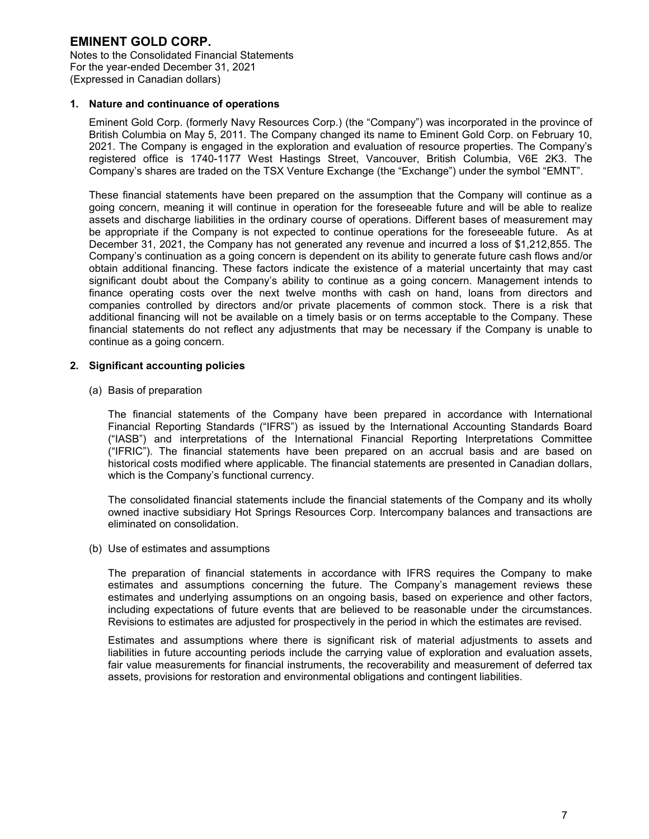Notes to the Consolidated Financial Statements For the year-ended December 31, 2021 (Expressed in Canadian dollars)

### **1. Nature and continuance of operations**

Eminent Gold Corp. (formerly Navy Resources Corp.) (the "Company") was incorporated in the province of British Columbia on May 5, 2011. The Company changed its name to Eminent Gold Corp. on February 10, 2021. The Company is engaged in the exploration and evaluation of resource properties. The Company's registered office is 1740-1177 West Hastings Street, Vancouver, British Columbia, V6E 2K3. The Company's shares are traded on the TSX Venture Exchange (the "Exchange") under the symbol "EMNT".

These financial statements have been prepared on the assumption that the Company will continue as a going concern, meaning it will continue in operation for the foreseeable future and will be able to realize assets and discharge liabilities in the ordinary course of operations. Different bases of measurement may be appropriate if the Company is not expected to continue operations for the foreseeable future. As at December 31, 2021, the Company has not generated any revenue and incurred a loss of \$1,212,855. The Company's continuation as a going concern is dependent on its ability to generate future cash flows and/or obtain additional financing. These factors indicate the existence of a material uncertainty that may cast significant doubt about the Company's ability to continue as a going concern. Management intends to finance operating costs over the next twelve months with cash on hand, loans from directors and companies controlled by directors and/or private placements of common stock. There is a risk that additional financing will not be available on a timely basis or on terms acceptable to the Company. These financial statements do not reflect any adjustments that may be necessary if the Company is unable to continue as a going concern.

# **2. Significant accounting policies**

(a) Basis of preparation

The financial statements of the Company have been prepared in accordance with International Financial Reporting Standards ("IFRS") as issued by the International Accounting Standards Board ("IASB") and interpretations of the International Financial Reporting Interpretations Committee ("IFRIC"). The financial statements have been prepared on an accrual basis and are based on historical costs modified where applicable. The financial statements are presented in Canadian dollars, which is the Company's functional currency.

The consolidated financial statements include the financial statements of the Company and its wholly owned inactive subsidiary Hot Springs Resources Corp. Intercompany balances and transactions are eliminated on consolidation.

(b) Use of estimates and assumptions

The preparation of financial statements in accordance with IFRS requires the Company to make estimates and assumptions concerning the future. The Company's management reviews these estimates and underlying assumptions on an ongoing basis, based on experience and other factors, including expectations of future events that are believed to be reasonable under the circumstances. Revisions to estimates are adjusted for prospectively in the period in which the estimates are revised.

Estimates and assumptions where there is significant risk of material adjustments to assets and liabilities in future accounting periods include the carrying value of exploration and evaluation assets, fair value measurements for financial instruments, the recoverability and measurement of deferred tax assets, provisions for restoration and environmental obligations and contingent liabilities.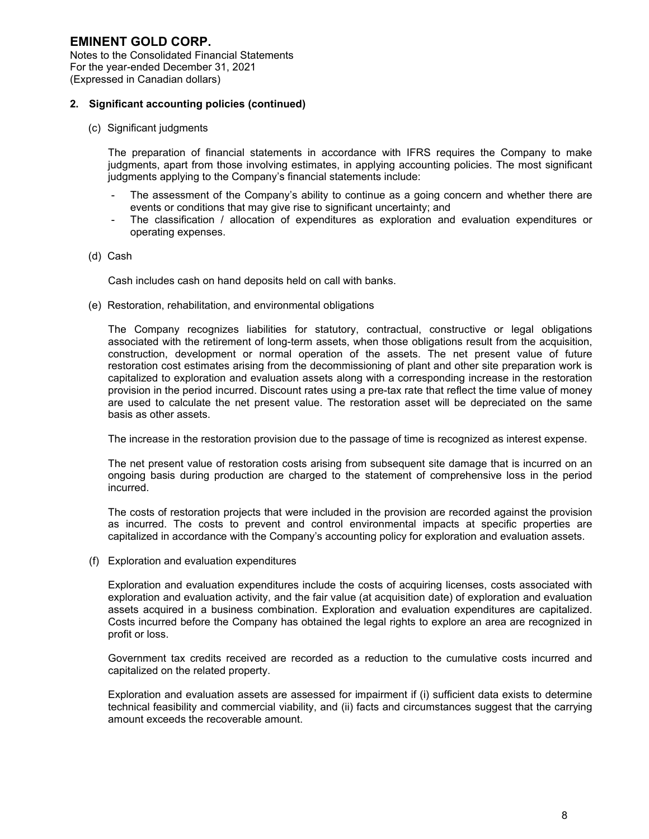Notes to the Consolidated Financial Statements For the year-ended December 31, 2021 (Expressed in Canadian dollars)

### **2. Significant accounting policies (continued)**

(c) Significant judgments

The preparation of financial statements in accordance with IFRS requires the Company to make judgments, apart from those involving estimates, in applying accounting policies. The most significant judgments applying to the Company's financial statements include:

- The assessment of the Company's ability to continue as a going concern and whether there are events or conditions that may give rise to significant uncertainty; and
- The classification / allocation of expenditures as exploration and evaluation expenditures or operating expenses.
- (d) Cash

Cash includes cash on hand deposits held on call with banks.

(e) Restoration, rehabilitation, and environmental obligations

The Company recognizes liabilities for statutory, contractual, constructive or legal obligations associated with the retirement of long-term assets, when those obligations result from the acquisition, construction, development or normal operation of the assets. The net present value of future restoration cost estimates arising from the decommissioning of plant and other site preparation work is capitalized to exploration and evaluation assets along with a corresponding increase in the restoration provision in the period incurred. Discount rates using a pre-tax rate that reflect the time value of money are used to calculate the net present value. The restoration asset will be depreciated on the same basis as other assets.

The increase in the restoration provision due to the passage of time is recognized as interest expense.

The net present value of restoration costs arising from subsequent site damage that is incurred on an ongoing basis during production are charged to the statement of comprehensive loss in the period incurred.

The costs of restoration projects that were included in the provision are recorded against the provision as incurred. The costs to prevent and control environmental impacts at specific properties are capitalized in accordance with the Company's accounting policy for exploration and evaluation assets.

(f) Exploration and evaluation expenditures

Exploration and evaluation expenditures include the costs of acquiring licenses, costs associated with exploration and evaluation activity, and the fair value (at acquisition date) of exploration and evaluation assets acquired in a business combination. Exploration and evaluation expenditures are capitalized. Costs incurred before the Company has obtained the legal rights to explore an area are recognized in profit or loss.

Government tax credits received are recorded as a reduction to the cumulative costs incurred and capitalized on the related property.

Exploration and evaluation assets are assessed for impairment if (i) sufficient data exists to determine technical feasibility and commercial viability, and (ii) facts and circumstances suggest that the carrying amount exceeds the recoverable amount.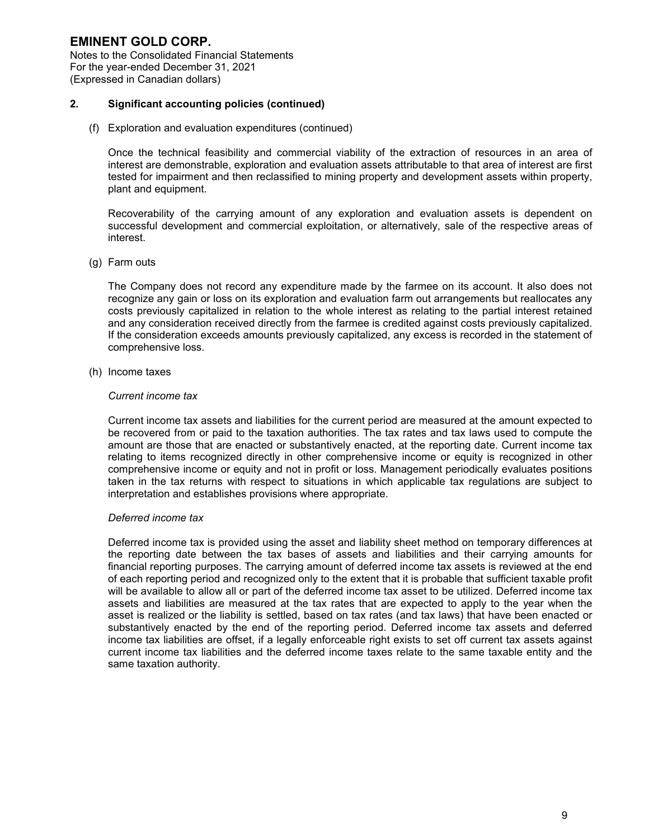Notes to the Consolidated Financial Statements For the year-ended December 31, 2021 (Expressed in Canadian dollars)

## **2. Significant accounting policies (continued)**

(f) Exploration and evaluation expenditures (continued)

Once the technical feasibility and commercial viability of the extraction of resources in an area of interest are demonstrable, exploration and evaluation assets attributable to that area of interest are first tested for impairment and then reclassified to mining property and development assets within property, plant and equipment.

Recoverability of the carrying amount of any exploration and evaluation assets is dependent on successful development and commercial exploitation, or alternatively, sale of the respective areas of interest.

(g) Farm outs

The Company does not record any expenditure made by the farmee on its account. It also does not recognize any gain or loss on its exploration and evaluation farm out arrangements but reallocates any costs previously capitalized in relation to the whole interest as relating to the partial interest retained and any consideration received directly from the farmee is credited against costs previously capitalized. If the consideration exceeds amounts previously capitalized, any excess is recorded in the statement of comprehensive loss.

(h) Income taxes

## *Current income tax*

Current income tax assets and liabilities for the current period are measured at the amount expected to be recovered from or paid to the taxation authorities. The tax rates and tax laws used to compute the amount are those that are enacted or substantively enacted, at the reporting date. Current income tax relating to items recognized directly in other comprehensive income or equity is recognized in other comprehensive income or equity and not in profit or loss. Management periodically evaluates positions taken in the tax returns with respect to situations in which applicable tax regulations are subject to interpretation and establishes provisions where appropriate.

#### *Deferred income tax*

Deferred income tax is provided using the asset and liability sheet method on temporary differences at the reporting date between the tax bases of assets and liabilities and their carrying amounts for financial reporting purposes. The carrying amount of deferred income tax assets is reviewed at the end of each reporting period and recognized only to the extent that it is probable that sufficient taxable profit will be available to allow all or part of the deferred income tax asset to be utilized. Deferred income tax assets and liabilities are measured at the tax rates that are expected to apply to the year when the asset is realized or the liability is settled, based on tax rates (and tax laws) that have been enacted or substantively enacted by the end of the reporting period. Deferred income tax assets and deferred income tax liabilities are offset, if a legally enforceable right exists to set off current tax assets against current income tax liabilities and the deferred income taxes relate to the same taxable entity and the same taxation authority.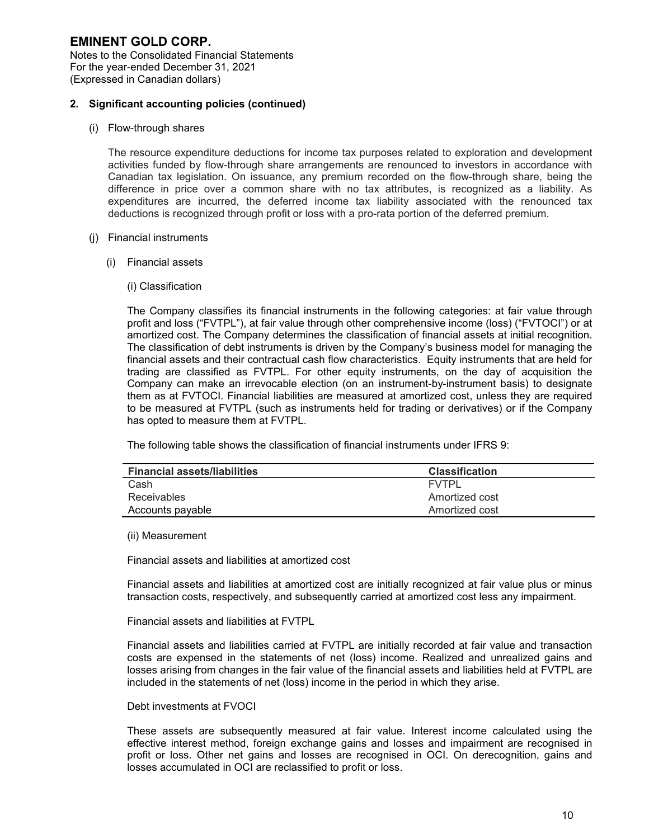Notes to the Consolidated Financial Statements For the year-ended December 31, 2021 (Expressed in Canadian dollars)

## **2. Significant accounting policies (continued)**

(i) Flow-through shares

The resource expenditure deductions for income tax purposes related to exploration and development activities funded by flow-through share arrangements are renounced to investors in accordance with Canadian tax legislation. On issuance, any premium recorded on the flow-through share, being the difference in price over a common share with no tax attributes, is recognized as a liability. As expenditures are incurred, the deferred income tax liability associated with the renounced tax deductions is recognized through profit or loss with a pro-rata portion of the deferred premium.

## (j) Financial instruments

- (i) Financial assets
	- (i) Classification

The Company classifies its financial instruments in the following categories: at fair value through profit and loss ("FVTPL"), at fair value through other comprehensive income (loss) ("FVTOCI") or at amortized cost. The Company determines the classification of financial assets at initial recognition. The classification of debt instruments is driven by the Company's business model for managing the financial assets and their contractual cash flow characteristics. Equity instruments that are held for trading are classified as FVTPL. For other equity instruments, on the day of acquisition the Company can make an irrevocable election (on an instrument-by-instrument basis) to designate them as at FVTOCI. Financial liabilities are measured at amortized cost, unless they are required to be measured at FVTPL (such as instruments held for trading or derivatives) or if the Company has opted to measure them at FVTPL.

The following table shows the classification of financial instruments under IFRS 9:

| <b>Financial assets/liabilities</b> | <b>Classification</b> |
|-------------------------------------|-----------------------|
| Cash                                | <b>FVTPI</b>          |
| <b>Receivables</b>                  | Amortized cost        |
| Accounts payable                    | Amortized cost        |

#### (ii) Measurement

Financial assets and liabilities at amortized cost

Financial assets and liabilities at amortized cost are initially recognized at fair value plus or minus transaction costs, respectively, and subsequently carried at amortized cost less any impairment.

Financial assets and liabilities at FVTPL

Financial assets and liabilities carried at FVTPL are initially recorded at fair value and transaction costs are expensed in the statements of net (loss) income. Realized and unrealized gains and losses arising from changes in the fair value of the financial assets and liabilities held at FVTPL are included in the statements of net (loss) income in the period in which they arise.

#### Debt investments at FVOCI

These assets are subsequently measured at fair value. Interest income calculated using the effective interest method, foreign exchange gains and losses and impairment are recognised in profit or loss. Other net gains and losses are recognised in OCI. On derecognition, gains and losses accumulated in OCI are reclassified to profit or loss.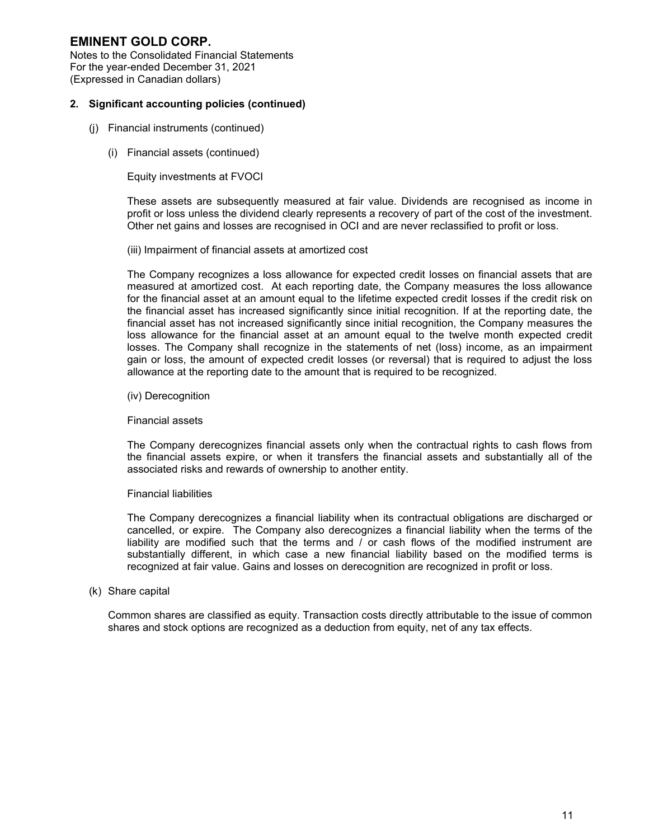Notes to the Consolidated Financial Statements For the year-ended December 31, 2021 (Expressed in Canadian dollars)

## **2. Significant accounting policies (continued)**

- (j) Financial instruments (continued)
	- (i) Financial assets (continued)

Equity investments at FVOCI

These assets are subsequently measured at fair value. Dividends are recognised as income in profit or loss unless the dividend clearly represents a recovery of part of the cost of the investment. Other net gains and losses are recognised in OCI and are never reclassified to profit or loss.

(iii) Impairment of financial assets at amortized cost

The Company recognizes a loss allowance for expected credit losses on financial assets that are measured at amortized cost. At each reporting date, the Company measures the loss allowance for the financial asset at an amount equal to the lifetime expected credit losses if the credit risk on the financial asset has increased significantly since initial recognition. If at the reporting date, the financial asset has not increased significantly since initial recognition, the Company measures the loss allowance for the financial asset at an amount equal to the twelve month expected credit losses. The Company shall recognize in the statements of net (loss) income, as an impairment gain or loss, the amount of expected credit losses (or reversal) that is required to adjust the loss allowance at the reporting date to the amount that is required to be recognized.

(iv) Derecognition

#### Financial assets

The Company derecognizes financial assets only when the contractual rights to cash flows from the financial assets expire, or when it transfers the financial assets and substantially all of the associated risks and rewards of ownership to another entity.

#### Financial liabilities

The Company derecognizes a financial liability when its contractual obligations are discharged or cancelled, or expire. The Company also derecognizes a financial liability when the terms of the liability are modified such that the terms and  $\overline{\phantom{a}}$  or cash flows of the modified instrument are substantially different, in which case a new financial liability based on the modified terms is recognized at fair value. Gains and losses on derecognition are recognized in profit or loss.

(k) Share capital

Common shares are classified as equity. Transaction costs directly attributable to the issue of common shares and stock options are recognized as a deduction from equity, net of any tax effects.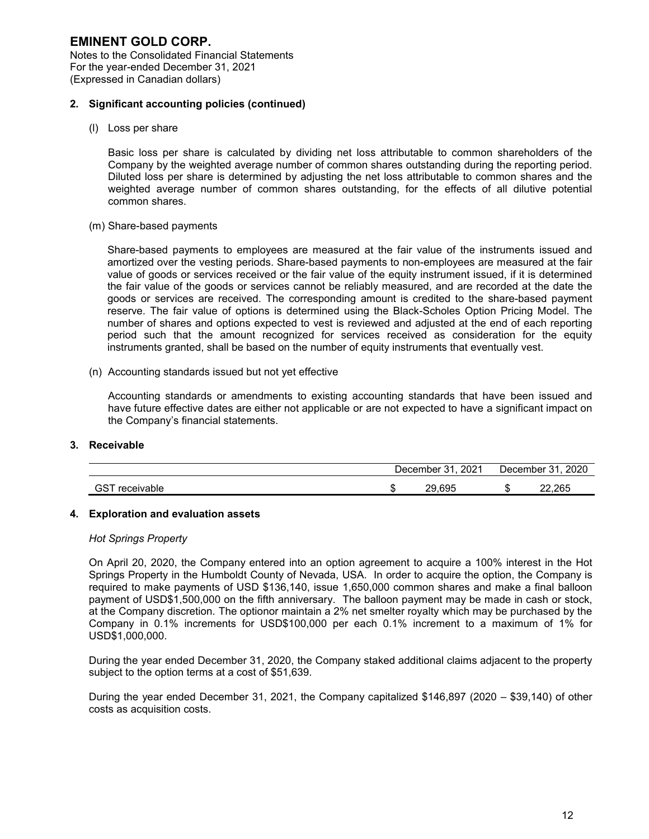Notes to the Consolidated Financial Statements For the year-ended December 31, 2021 (Expressed in Canadian dollars)

### **2. Significant accounting policies (continued)**

(l) Loss per share

Basic loss per share is calculated by dividing net loss attributable to common shareholders of the Company by the weighted average number of common shares outstanding during the reporting period. Diluted loss per share is determined by adjusting the net loss attributable to common shares and the weighted average number of common shares outstanding, for the effects of all dilutive potential common shares.

(m) Share-based payments

Share-based payments to employees are measured at the fair value of the instruments issued and amortized over the vesting periods. Share-based payments to non-employees are measured at the fair value of goods or services received or the fair value of the equity instrument issued, if it is determined the fair value of the goods or services cannot be reliably measured, and are recorded at the date the goods or services are received. The corresponding amount is credited to the share-based payment reserve. The fair value of options is determined using the Black-Scholes Option Pricing Model. The number of shares and options expected to vest is reviewed and adjusted at the end of each reporting period such that the amount recognized for services received as consideration for the equity instruments granted, shall be based on the number of equity instruments that eventually vest.

(n) Accounting standards issued but not yet effective

Accounting standards or amendments to existing accounting standards that have been issued and have future effective dates are either not applicable or are not expected to have a significant impact on the Company's financial statements.

# **3. Receivable**

|            |    | 2021<br>24<br>December<br>ື | 2020<br>24<br>December<br>J |        |  |
|------------|----|-----------------------------|-----------------------------|--------|--|
| receivable | æ  | 29.695                      | æ                           | 22,265 |  |
| دت         | ۰D | ∠◡                          | Œ                           |        |  |

# **4. Exploration and evaluation assets**

#### *Hot Springs Property*

On April 20, 2020, the Company entered into an option agreement to acquire a 100% interest in the Hot Springs Property in the Humboldt County of Nevada, USA. In order to acquire the option, the Company is required to make payments of USD \$136,140, issue 1,650,000 common shares and make a final balloon payment of USD\$1,500,000 on the fifth anniversary. The balloon payment may be made in cash or stock, at the Company discretion. The optionor maintain a 2% net smelter royalty which may be purchased by the Company in 0.1% increments for USD\$100,000 per each 0.1% increment to a maximum of 1% for USD\$1,000,000.

During the year ended December 31, 2020, the Company staked additional claims adjacent to the property subject to the option terms at a cost of \$51,639.

During the year ended December 31, 2021, the Company capitalized \$146,897 (2020 – \$39,140) of other costs as acquisition costs.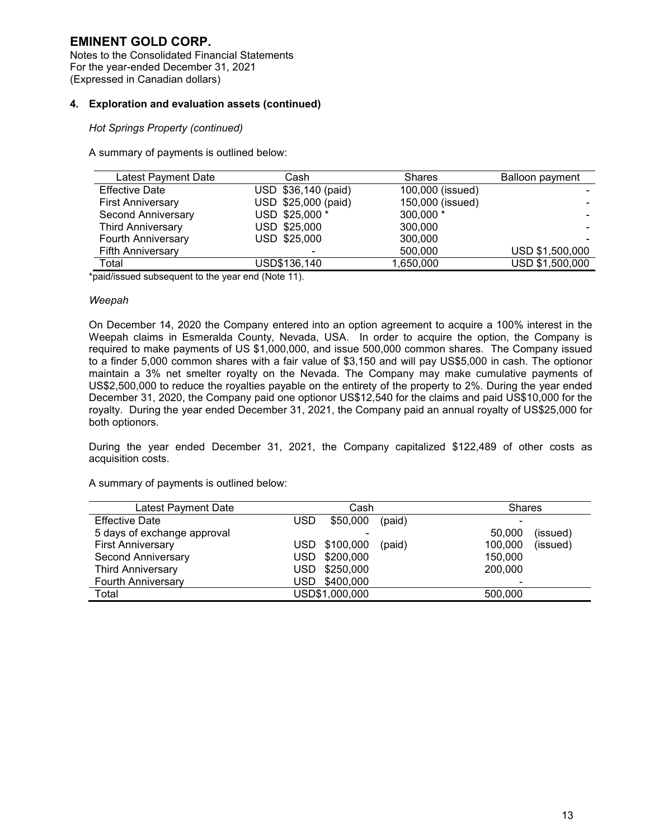Notes to the Consolidated Financial Statements For the year-ended December 31, 2021 (Expressed in Canadian dollars)

### **4. Exploration and evaluation assets (continued)**

*Hot Springs Property (continued)*

A summary of payments is outlined below:

| Latest Payment Date       | Cash                | <b>Shares</b>    | Balloon payment          |
|---------------------------|---------------------|------------------|--------------------------|
| <b>Effective Date</b>     | USD \$36,140 (paid) | 100,000 (issued) |                          |
| <b>First Anniversary</b>  | USD \$25,000 (paid) | 150,000 (issued) |                          |
| Second Anniversary        | USD \$25,000 *      | 300,000 *        | $\overline{\phantom{0}}$ |
| <b>Third Anniversary</b>  | USD \$25,000        | 300,000          |                          |
| <b>Fourth Anniversary</b> | USD \$25,000        | 300,000          |                          |
| <b>Fifth Anniversary</b>  |                     | 500,000          | USD \$1,500,000          |
| Total                     | USD\$136,140        | 1,650,000        | USD \$1,500,000          |

\*paid/issued subsequent to the year end (Note 11).

## *Weepah*

On December 14, 2020 the Company entered into an option agreement to acquire a 100% interest in the Weepah claims in Esmeralda County, Nevada, USA. In order to acquire the option, the Company is required to make payments of US \$1,000,000, and issue 500,000 common shares. The Company issued to a finder 5,000 common shares with a fair value of \$3,150 and will pay US\$5,000 in cash. The optionor maintain a 3% net smelter royalty on the Nevada. The Company may make cumulative payments of US\$2,500,000 to reduce the royalties payable on the entirety of the property to 2%. During the year ended December 31, 2020, the Company paid one optionor US\$12,540 for the claims and paid US\$10,000 for the royalty. During the year ended December 31, 2021, the Company paid an annual royalty of US\$25,000 for both optionors.

During the year ended December 31, 2021, the Company capitalized \$122,489 of other costs as acquisition costs.

A summary of payments is outlined below:

| Latest Payment Date         | Cash                      | <b>Shares</b>       |
|-----------------------------|---------------------------|---------------------|
| <b>Effective Date</b>       | USD<br>\$50,000<br>(paid) |                     |
| 5 days of exchange approval | $\overline{\phantom{0}}$  | 50,000<br>(issued)  |
| <b>First Anniversary</b>    | USD \$100,000<br>(paid)   | (issued)<br>100,000 |
| <b>Second Anniversary</b>   | USD \$200,000             | 150,000             |
| <b>Third Anniversary</b>    | USD \$250,000             | 200,000             |
| <b>Fourth Anniversary</b>   | USD \$400,000             | -                   |
| Total                       | USD\$1,000,000            | 500,000             |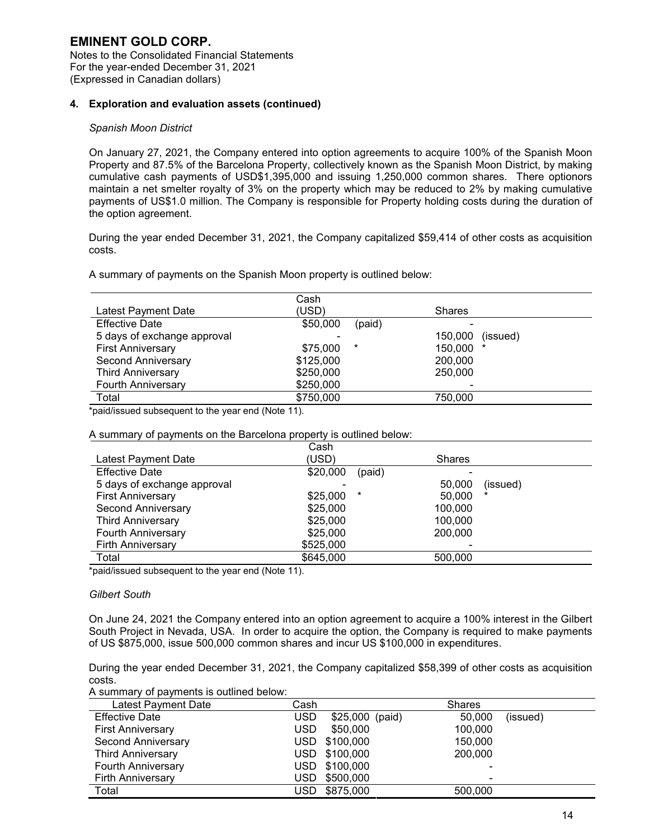Notes to the Consolidated Financial Statements For the year-ended December 31, 2021 (Expressed in Canadian dollars)

### **4. Exploration and evaluation assets (continued)**

## *Spanish Moon District*

On January 27, 2021, the Company entered into option agreements to acquire 100% of the Spanish Moon Property and 87.5% of the Barcelona Property, collectively known as the Spanish Moon District, by making cumulative cash payments of USD\$1,395,000 and issuing 1,250,000 common shares. There optionors maintain a net smelter royalty of 3% on the property which may be reduced to 2% by making cumulative payments of US\$1.0 million. The Company is responsible for Property holding costs during the duration of the option agreement.

During the year ended December 31, 2021, the Company capitalized \$59,414 of other costs as acquisition costs.

A summary of payments on the Spanish Moon property is outlined below:

|                             | Cash      |         |               |          |
|-----------------------------|-----------|---------|---------------|----------|
| Latest Payment Date         | (USD)     |         | <b>Shares</b> |          |
| <b>Effective Date</b>       | \$50,000  | (paid)  |               |          |
| 5 days of exchange approval |           |         | 150,000       | (issued) |
| <b>First Anniversary</b>    | \$75,000  | $^\ast$ | 150,000       |          |
| <b>Second Anniversary</b>   | \$125,000 |         | 200,000       |          |
| <b>Third Anniversary</b>    | \$250,000 |         | 250,000       |          |
| <b>Fourth Anniversary</b>   | \$250,000 |         |               |          |
| Total                       | \$750,000 |         | 750,000       |          |

\*paid/issued subsequent to the year end (Note 11).

#### A summary of payments on the Barcelona property is outlined below:

|                             | Cash      |        |               |          |
|-----------------------------|-----------|--------|---------------|----------|
| Latest Payment Date         | (USD)     |        | <b>Shares</b> |          |
| <b>Effective Date</b>       | \$20,000  | (paid) | -             |          |
| 5 days of exchange approval |           |        | 50,000        | (issued) |
| <b>First Anniversary</b>    | \$25,000  | *      | 50,000        |          |
| <b>Second Anniversary</b>   | \$25,000  |        | 100,000       |          |
| <b>Third Anniversary</b>    | \$25,000  |        | 100,000       |          |
| <b>Fourth Anniversary</b>   | \$25,000  |        | 200,000       |          |
| <b>Firth Anniversary</b>    | \$525,000 |        | ۰             |          |
| Total                       | \$645,000 |        | 500,000       |          |

\*paid/issued subsequent to the year end (Note 11).

#### *Gilbert South*

On June 24, 2021 the Company entered into an option agreement to acquire a 100% interest in the Gilbert South Project in Nevada, USA. In order to acquire the option, the Company is required to make payments of US \$875,000, issue 500,000 common shares and incur US \$100,000 in expenditures.

During the year ended December 31, 2021, the Company capitalized \$58,399 of other costs as acquisition costs.

#### A summary of payments is outlined below:

| Latest Payment Date       | Cash |                 | <b>Shares</b>  |          |
|---------------------------|------|-----------------|----------------|----------|
| <b>Effective Date</b>     | USD  | \$25,000 (paid) | 50,000         | (issued) |
| <b>First Anniversary</b>  | USD. | \$50,000        | 100,000        |          |
| Second Anniversary        |      | USD \$100,000   | 150,000        |          |
| <b>Third Anniversary</b>  |      | USD \$100,000   | 200,000        |          |
| <b>Fourth Anniversary</b> |      | USD \$100,000   | ۰              |          |
| <b>Firth Anniversary</b>  | USD- | \$500,000       | $\blacksquare$ |          |
| Total                     | USD- | \$875,000       | 500,000        |          |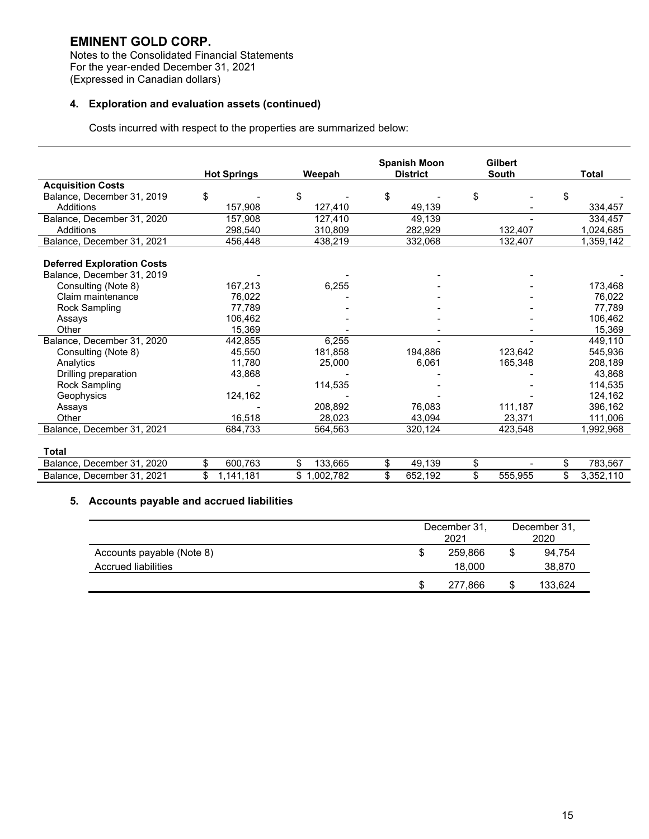Notes to the Consolidated Financial Statements For the year-ended December 31, 2021 (Expressed in Canadian dollars)

# **4. Exploration and evaluation assets (continued)**

Costs incurred with respect to the properties are summarized below:

|                                                                 | <b>Hot Springs</b> | Weepah        | <b>Spanish Moon</b><br><b>District</b> | <b>Gilbert</b><br><b>South</b> | <b>Total</b>    |
|-----------------------------------------------------------------|--------------------|---------------|----------------------------------------|--------------------------------|-----------------|
| <b>Acquisition Costs</b>                                        |                    |               |                                        |                                |                 |
| Balance, December 31, 2019                                      | \$                 | \$            | \$                                     | \$                             | S               |
| Additions                                                       | 157,908            | 127,410       | 49,139                                 |                                | 334,457         |
| Balance, December 31, 2020                                      | 157,908            | 127,410       | 49,139                                 |                                | 334,457         |
| Additions                                                       | 298,540            | 310,809       | 282,929                                | 132,407                        | 1,024,685       |
| Balance, December 31, 2021                                      | 456,448            | 438,219       | 332,068                                | 132,407                        | 1,359,142       |
| <b>Deferred Exploration Costs</b><br>Balance, December 31, 2019 |                    |               |                                        |                                |                 |
| Consulting (Note 8)                                             | 167,213            | 6,255         |                                        |                                | 173,468         |
| Claim maintenance                                               | 76.022             |               |                                        |                                | 76,022          |
| Rock Sampling                                                   | 77,789             |               |                                        |                                | 77,789          |
| Assays                                                          | 106.462            |               |                                        |                                | 106,462         |
| Other                                                           | 15,369             |               |                                        |                                | 15,369          |
| Balance, December 31, 2020                                      | 442,855            | 6,255         |                                        |                                | 449,110         |
| Consulting (Note 8)                                             | 45,550             | 181,858       | 194,886                                | 123,642                        | 545,936         |
| Analytics                                                       | 11,780             | 25,000        | 6,061                                  | 165,348                        | 208,189         |
| Drilling preparation                                            | 43,868             |               |                                        |                                | 43,868          |
| Rock Sampling                                                   |                    | 114,535       |                                        |                                | 114,535         |
| Geophysics                                                      | 124,162            |               |                                        |                                | 124,162         |
| Assays                                                          |                    | 208.892       | 76.083                                 | 111,187                        | 396,162         |
| Other                                                           | 16,518             | 28,023        | 43,094                                 | 23,371                         | 111,006         |
| Balance, December 31, 2021                                      | 684,733            | 564,563       | 320,124                                | 423,548                        | 1,992,968       |
| Total                                                           |                    |               |                                        |                                |                 |
| Balance, December 31, 2020                                      | 600,763<br>\$      | 133,665<br>\$ | \$<br>49,139                           | \$                             | 783,567<br>\$   |
| Balance, December 31, 2021                                      | \$<br>1,141,181    | \$1,002,782   | \$<br>652,192                          | \$<br>555,955                  | \$<br>3,352,110 |

# **5. Accounts payable and accrued liabilities**

|                            | December 31,<br>2021 | December 31,<br>2020 |         |  |
|----------------------------|----------------------|----------------------|---------|--|
| Accounts payable (Note 8)  | 259.866              |                      | 94,754  |  |
| <b>Accrued liabilities</b> | 18.000               |                      | 38,870  |  |
|                            | 277.866              |                      | 133,624 |  |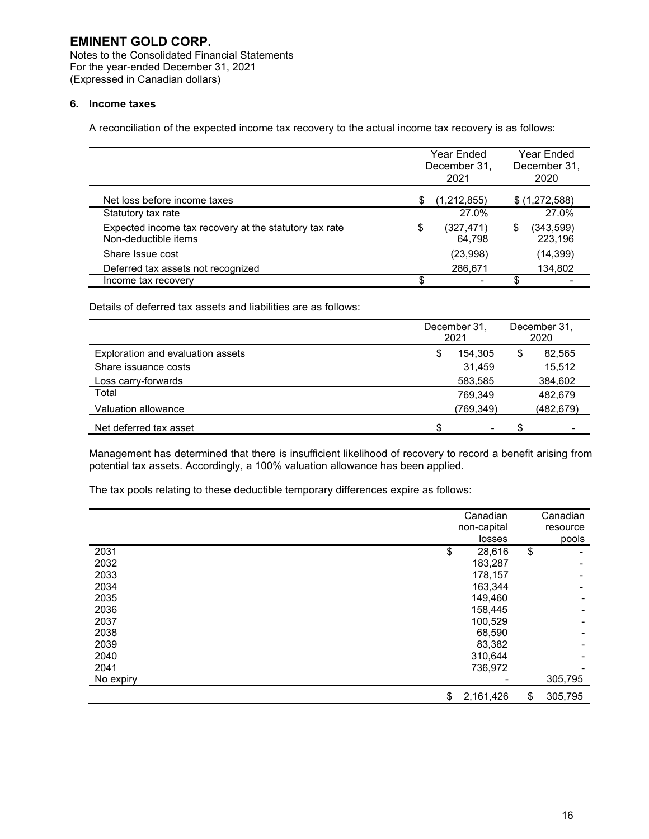Notes to the Consolidated Financial Statements For the year-ended December 31, 2021 (Expressed in Canadian dollars)

# **6. Income taxes**

A reconciliation of the expected income tax recovery to the actual income tax recovery is as follows:

|                                                                                | Year Ended<br>December 31,<br>2021 |   | Year Ended<br>December 31,<br>2020 |
|--------------------------------------------------------------------------------|------------------------------------|---|------------------------------------|
| Net loss before income taxes                                                   | (1,212,855)                        |   | \$(1,272,588)                      |
| Statutory tax rate                                                             | 27.0%                              |   | 27.0%                              |
| Expected income tax recovery at the statutory tax rate<br>Non-deductible items | \$<br>(327, 471)<br>64.798         | S | (343, 599)<br>223,196              |
| Share Issue cost                                                               | (23,998)                           |   | (14, 399)                          |
| Deferred tax assets not recognized                                             | 286,671                            |   | 134,802                            |
| Income tax recovery                                                            | ۰                                  |   |                                    |

Details of deferred tax assets and liabilities are as follows:

|                                   | December 31,<br>2021 |           |    | December 31,<br>2020 |  |  |
|-----------------------------------|----------------------|-----------|----|----------------------|--|--|
| Exploration and evaluation assets | \$                   | 154.305   | \$ | 82,565               |  |  |
| Share issuance costs              |                      | 31,459    |    | 15,512               |  |  |
| Loss carry-forwards               |                      | 583,585   |    | 384,602              |  |  |
| Total                             |                      | 769.349   |    | 482.679              |  |  |
| Valuation allowance               |                      | (769,349) |    | (482, 679)           |  |  |
| Net deferred tax asset            | \$                   |           |    |                      |  |  |

Management has determined that there is insufficient likelihood of recovery to record a benefit arising from potential tax assets. Accordingly, a 100% valuation allowance has been applied.

The tax pools relating to these deductible temporary differences expire as follows:

|           | Canadian        | Canadian      |
|-----------|-----------------|---------------|
|           | non-capital     | resource      |
|           | losses          | pools         |
| 2031      | \$<br>28,616    | \$            |
| 2032      | 183,287         | ۰             |
| 2033      | 178,157         | -             |
| 2034      | 163,344         | ۰             |
| 2035      | 149,460         |               |
| 2036      | 158,445         |               |
| 2037      | 100,529         |               |
| 2038      | 68,590          |               |
| 2039      | 83,382          |               |
| 2040      | 310,644         |               |
| 2041      | 736,972         |               |
| No expiry |                 | 305,795       |
|           | \$<br>2,161,426 | \$<br>305,795 |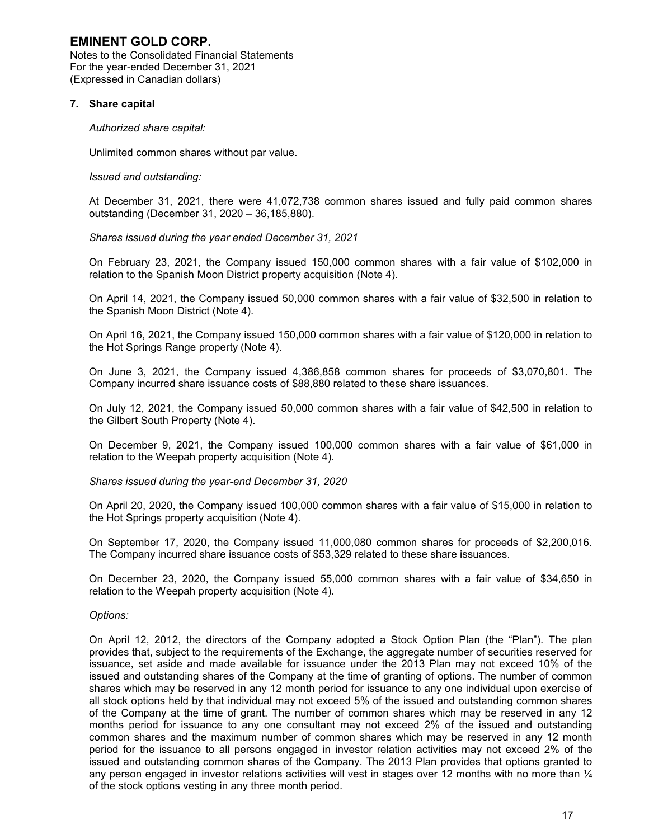Notes to the Consolidated Financial Statements For the year-ended December 31, 2021 (Expressed in Canadian dollars)

## **7. Share capital**

*Authorized share capital:*

Unlimited common shares without par value.

## *Issued and outstanding:*

At December 31, 2021, there were 41,072,738 common shares issued and fully paid common shares outstanding (December 31, 2020 – 36,185,880).

## *Shares issued during the year ended December 31, 2021*

On February 23, 2021, the Company issued 150,000 common shares with a fair value of \$102,000 in relation to the Spanish Moon District property acquisition (Note 4).

On April 14, 2021, the Company issued 50,000 common shares with a fair value of \$32,500 in relation to the Spanish Moon District (Note 4).

On April 16, 2021, the Company issued 150,000 common shares with a fair value of \$120,000 in relation to the Hot Springs Range property (Note 4).

On June 3, 2021, the Company issued 4,386,858 common shares for proceeds of \$3,070,801. The Company incurred share issuance costs of \$88,880 related to these share issuances.

On July 12, 2021, the Company issued 50,000 common shares with a fair value of \$42,500 in relation to the Gilbert South Property (Note 4).

On December 9, 2021, the Company issued 100,000 common shares with a fair value of \$61,000 in relation to the Weepah property acquisition (Note 4).

*Shares issued during the year-end December 31, 2020*

On April 20, 2020, the Company issued 100,000 common shares with a fair value of \$15,000 in relation to the Hot Springs property acquisition (Note 4).

On September 17, 2020, the Company issued 11,000,080 common shares for proceeds of \$2,200,016. The Company incurred share issuance costs of \$53,329 related to these share issuances.

On December 23, 2020, the Company issued 55,000 common shares with a fair value of \$34,650 in relation to the Weepah property acquisition (Note 4).

# *Options:*

On April 12, 2012, the directors of the Company adopted a Stock Option Plan (the "Plan"). The plan provides that, subject to the requirements of the Exchange, the aggregate number of securities reserved for issuance, set aside and made available for issuance under the 2013 Plan may not exceed 10% of the issued and outstanding shares of the Company at the time of granting of options. The number of common shares which may be reserved in any 12 month period for issuance to any one individual upon exercise of all stock options held by that individual may not exceed 5% of the issued and outstanding common shares of the Company at the time of grant. The number of common shares which may be reserved in any 12 months period for issuance to any one consultant may not exceed 2% of the issued and outstanding common shares and the maximum number of common shares which may be reserved in any 12 month period for the issuance to all persons engaged in investor relation activities may not exceed 2% of the issued and outstanding common shares of the Company. The 2013 Plan provides that options granted to any person engaged in investor relations activities will vest in stages over 12 months with no more than  $\mathcal{U}_4$ of the stock options vesting in any three month period.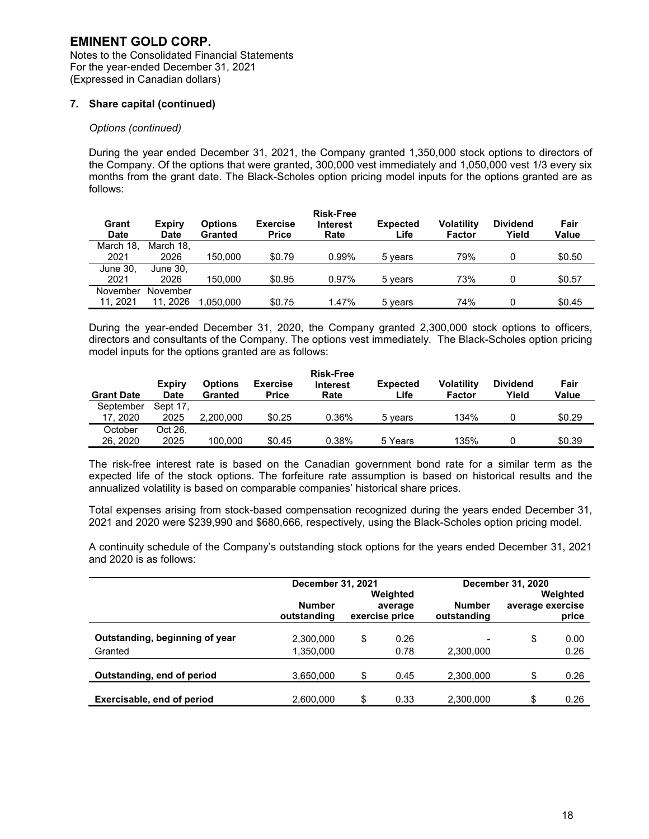Notes to the Consolidated Financial Statements For the year-ended December 31, 2021 (Expressed in Canadian dollars)

## **7. Share capital (continued)**

#### *Options (continued)*

During the year ended December 31, 2021, the Company granted 1,350,000 stock options to directors of the Company. Of the options that were granted, 300,000 vest immediately and 1,050,000 vest 1/3 every six months from the grant date. The Black-Scholes option pricing model inputs for the options granted are as follows:

| Grant<br><b>Date</b> | <b>Expirv</b><br><b>Date</b> | <b>Options</b><br><b>Granted</b> | <b>Exercise</b><br><b>Price</b> | <b>Risk-Free</b><br><b>Interest</b><br>Rate | <b>Expected</b><br>Life | <b>Volatility</b><br><b>Factor</b> | <b>Dividend</b><br>Yield | Fair<br>Value |
|----------------------|------------------------------|----------------------------------|---------------------------------|---------------------------------------------|-------------------------|------------------------------------|--------------------------|---------------|
| March 18,            | March 18.                    |                                  |                                 |                                             |                         |                                    |                          |               |
| 2021                 | 2026                         | 150.000                          | \$0.79                          | 0.99%                                       | 5 years                 | 79%                                |                          | \$0.50        |
| June 30,             | June 30.                     |                                  |                                 |                                             |                         |                                    |                          |               |
| 2021                 | 2026                         | 150.000                          | \$0.95                          | 0.97%                                       | 5 years                 | 73%                                |                          | \$0.57        |
| November             | November                     |                                  |                                 |                                             |                         |                                    |                          |               |
| 11.2021              | 11.2026                      | 1.050.000                        | \$0.75                          | 1.47%                                       | 5 years                 | 74%                                |                          | \$0.45        |

During the year-ended December 31, 2020, the Company granted 2,300,000 stock options to officers, directors and consultants of the Company. The options vest immediately. The Black-Scholes option pricing model inputs for the options granted are as follows:

| <b>Grant Date</b> | Expiry<br><b>Date</b> | <b>Options</b><br><b>Granted</b> | <b>Exercise</b><br><b>Price</b> | <b>Risk-Free</b><br><b>Interest</b><br>Rate | <b>Expected</b><br>Life | <b>Volatility</b><br><b>Factor</b> | <b>Dividend</b><br>Yield | Fair<br>Value |
|-------------------|-----------------------|----------------------------------|---------------------------------|---------------------------------------------|-------------------------|------------------------------------|--------------------------|---------------|
| September         | Sept 17.              |                                  |                                 |                                             |                         |                                    |                          |               |
| 17, 2020          | 2025                  | 2.200.000                        | \$0.25                          | 0.36%                                       | 5 years                 | 134%                               |                          | \$0.29        |
| October           | Oct 26.               |                                  |                                 |                                             |                         |                                    |                          |               |
| 26, 2020          | 2025                  | 100.000                          | \$0.45                          | 0.38%                                       | 5 Years                 | 135%                               |                          | \$0.39        |

The risk-free interest rate is based on the Canadian government bond rate for a similar term as the expected life of the stock options. The forfeiture rate assumption is based on historical results and the annualized volatility is based on comparable companies' historical share prices.

Total expenses arising from stock-based compensation recognized during the years ended December 31, 2021 and 2020 were \$239,990 and \$680,666, respectively, using the Black-Scholes option pricing model.

A continuity schedule of the Company's outstanding stock options for the years ended December 31, 2021 and 2020 is as follows:

|                                           | December 31, 2021            |                                       |              | December 31, 2020                     |                                       |              |  |
|-------------------------------------------|------------------------------|---------------------------------------|--------------|---------------------------------------|---------------------------------------|--------------|--|
|                                           | <b>Number</b><br>outstanding | Weighted<br>average<br>exercise price |              | <b>Number</b><br>outstanding          | Weighted<br>average exercise<br>price |              |  |
| Outstanding, beginning of year<br>Granted | 2.300.000<br>1,350,000       | \$                                    | 0.26<br>0.78 | $\overline{\phantom{0}}$<br>2,300,000 | \$                                    | 0.00<br>0.26 |  |
| Outstanding, end of period                | 3,650,000                    | \$                                    | 0.45         | 2,300,000                             | \$                                    | 0.26         |  |
| Exercisable, end of period                | 2,600,000                    | \$                                    | 0.33         | 2,300,000                             | \$                                    | 0.26         |  |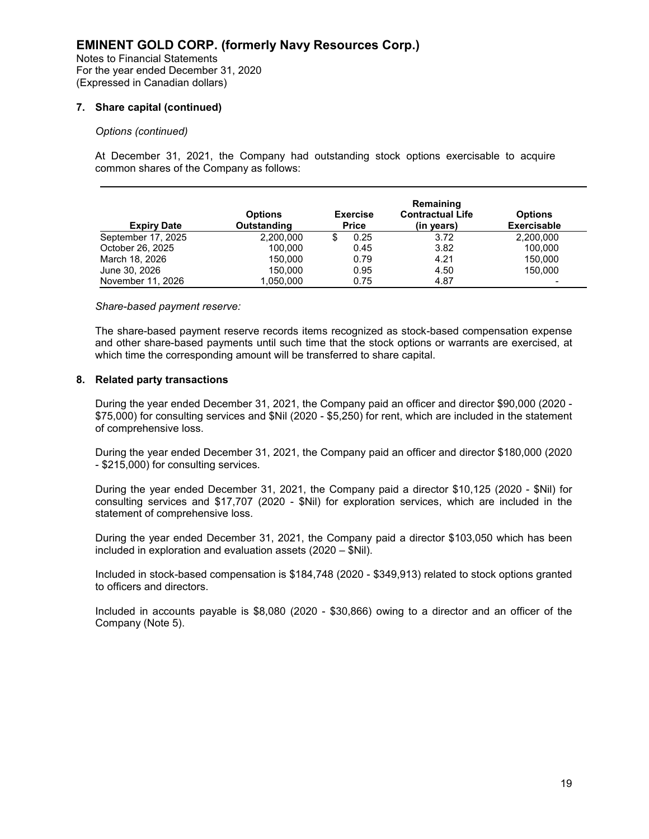# **EMINENT GOLD CORP. (formerly Navy Resources Corp.)**

Notes to Financial Statements For the year ended December 31, 2020 (Expressed in Canadian dollars)

## **7. Share capital (continued)**

#### *Options (continued)*

At December 31, 2021, the Company had outstanding stock options exercisable to acquire common shares of the Company as follows:

| <b>Expiry Date</b> | <b>Options</b><br><b>Outstanding</b> | <b>Exercise</b><br><b>Price</b> | Remaining<br><b>Contractual Life</b><br>(in years) | <b>Options</b><br><b>Exercisable</b> |
|--------------------|--------------------------------------|---------------------------------|----------------------------------------------------|--------------------------------------|
| September 17, 2025 | 2,200,000                            | 0.25<br>S                       | 3.72                                               | 2,200,000                            |
| October 26, 2025   | 100.000                              | 0.45                            | 3.82                                               | 100.000                              |
| March 18, 2026     | 150.000                              | 0.79                            | 4.21                                               | 150,000                              |
| June 30, 2026      | 150.000                              | 0.95                            | 4.50                                               | 150,000                              |
| November 11, 2026  | 1.050.000                            | 0.75                            | 4.87                                               | $\,$                                 |

## *Share-based payment reserve:*

The share-based payment reserve records items recognized as stock-based compensation expense and other share-based payments until such time that the stock options or warrants are exercised, at which time the corresponding amount will be transferred to share capital.

## **8. Related party transactions**

During the year ended December 31, 2021, the Company paid an officer and director \$90,000 (2020 - \$75,000) for consulting services and \$Nil (2020 - \$5,250) for rent, which are included in the statement of comprehensive loss.

During the year ended December 31, 2021, the Company paid an officer and director \$180,000 (2020 - \$215,000) for consulting services.

During the year ended December 31, 2021, the Company paid a director \$10,125 (2020 - \$Nil) for consulting services and \$17,707 (2020 - \$Nil) for exploration services, which are included in the statement of comprehensive loss.

During the year ended December 31, 2021, the Company paid a director \$103,050 which has been included in exploration and evaluation assets (2020 – \$Nil).

Included in stock-based compensation is \$184,748 (2020 - \$349,913) related to stock options granted to officers and directors.

Included in accounts payable is \$8,080 (2020 - \$30,866) owing to a director and an officer of the Company (Note 5).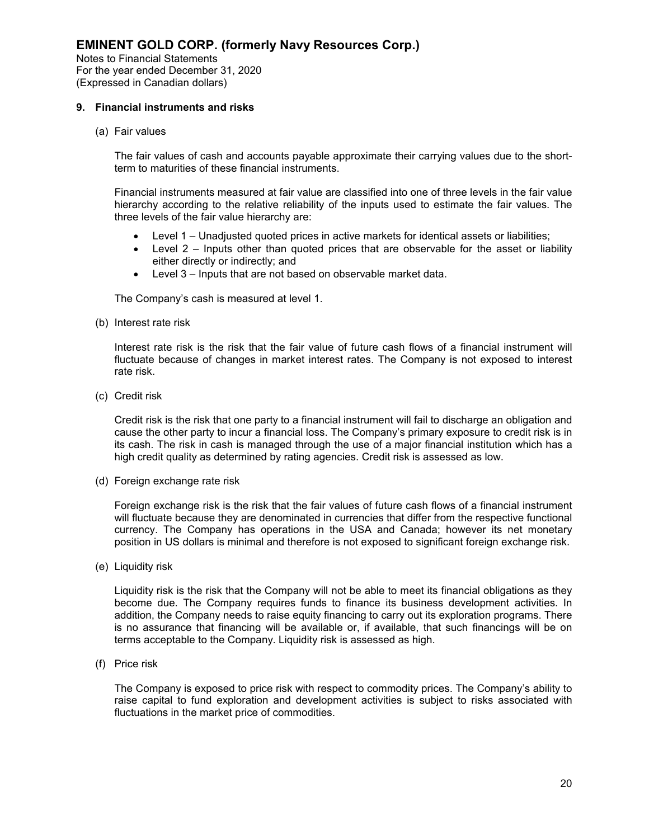# **EMINENT GOLD CORP. (formerly Navy Resources Corp.)**

Notes to Financial Statements For the year ended December 31, 2020 (Expressed in Canadian dollars)

## **9. Financial instruments and risks**

(a) Fair values

The fair values of cash and accounts payable approximate their carrying values due to the shortterm to maturities of these financial instruments.

Financial instruments measured at fair value are classified into one of three levels in the fair value hierarchy according to the relative reliability of the inputs used to estimate the fair values. The three levels of the fair value hierarchy are:

- Level 1 Unadjusted quoted prices in active markets for identical assets or liabilities;
- $\bullet$  Level 2 Inputs other than quoted prices that are observable for the asset or liability either directly or indirectly; and
- Level 3 Inputs that are not based on observable market data.

The Company's cash is measured at level 1.

(b) Interest rate risk

Interest rate risk is the risk that the fair value of future cash flows of a financial instrument will fluctuate because of changes in market interest rates. The Company is not exposed to interest rate risk.

(c) Credit risk

Credit risk is the risk that one party to a financial instrument will fail to discharge an obligation and cause the other party to incur a financial loss. The Company's primary exposure to credit risk is in its cash. The risk in cash is managed through the use of a major financial institution which has a high credit quality as determined by rating agencies. Credit risk is assessed as low.

(d) Foreign exchange rate risk

Foreign exchange risk is the risk that the fair values of future cash flows of a financial instrument will fluctuate because they are denominated in currencies that differ from the respective functional currency. The Company has operations in the USA and Canada; however its net monetary position in US dollars is minimal and therefore is not exposed to significant foreign exchange risk.

(e) Liquidity risk

Liquidity risk is the risk that the Company will not be able to meet its financial obligations as they become due. The Company requires funds to finance its business development activities. In addition, the Company needs to raise equity financing to carry out its exploration programs. There is no assurance that financing will be available or, if available, that such financings will be on terms acceptable to the Company. Liquidity risk is assessed as high.

(f) Price risk

The Company is exposed to price risk with respect to commodity prices. The Company's ability to raise capital to fund exploration and development activities is subject to risks associated with fluctuations in the market price of commodities.